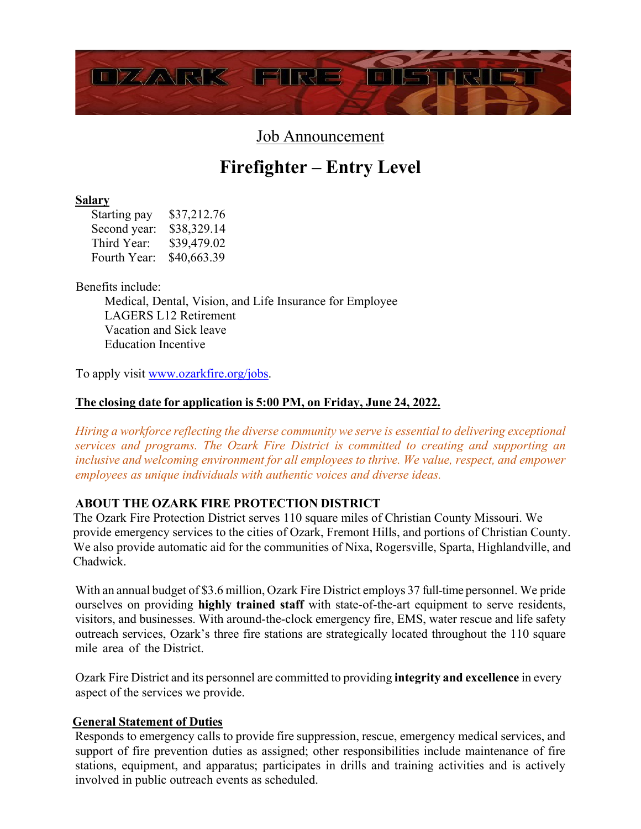

Job Announcement

# **Firefighter – Entry Level**

#### **Salary**

| Starting pay | \$37,212.76 |
|--------------|-------------|
| Second year: | \$38,329.14 |
| Third Year:  | \$39,479.02 |
| Fourth Year: | \$40,663.39 |

#### Benefits include:

 Medical, Dental, Vision, and Life Insurance for Employee LAGERS L12 Retirement Vacation and Sick leave Education Incentive

To apply visit [www.ozarkfire.org/jobs.](http://www.ozarkfire.org/jobs)

## **The closing date for application is 5:00 PM, on Friday, June 24, 2022.**

*Hiring a workforce reflecting the diverse community we serve is essential to delivering exceptional services and programs. The Ozark Fire District is committed to creating and supporting an inclusive and welcoming environment for all employees to thrive. We value, respect, and empower employees as unique individuals with authentic voices and diverse ideas.*

## **ABOUT THE OZARK FIRE PROTECTION DISTRICT**

The Ozark Fire Protection District serves 110 square miles of Christian County Missouri. We provide emergency services to the cities of Ozark, Fremont Hills, and portions of Christian County. We also provide automatic aid for the communities of Nixa, Rogersville, Sparta, Highlandville, and Chadwick.

With an annual budget of \$3.6 million, Ozark Fire District employs 37 full-time personnel. We pride ourselves on providing **highly trained staff** with state-of-the-art equipment to serve residents, visitors, and businesses. With around-the-clock emergency fire, EMS, water rescue and life safety outreach services, Ozark's three fire stations are strategically located throughout the 110 square mile area of the District.

Ozark Fire District and its personnel are committed to providing **integrity and excellence** in every aspect of the services we provide.

## **General Statement of Duties**

Responds to emergency calls to provide fire suppression, rescue, emergency medical services, and support of fire prevention duties as assigned; other responsibilities include maintenance of fire stations, equipment, and apparatus; participates in drills and training activities and is actively involved in public outreach events as scheduled.